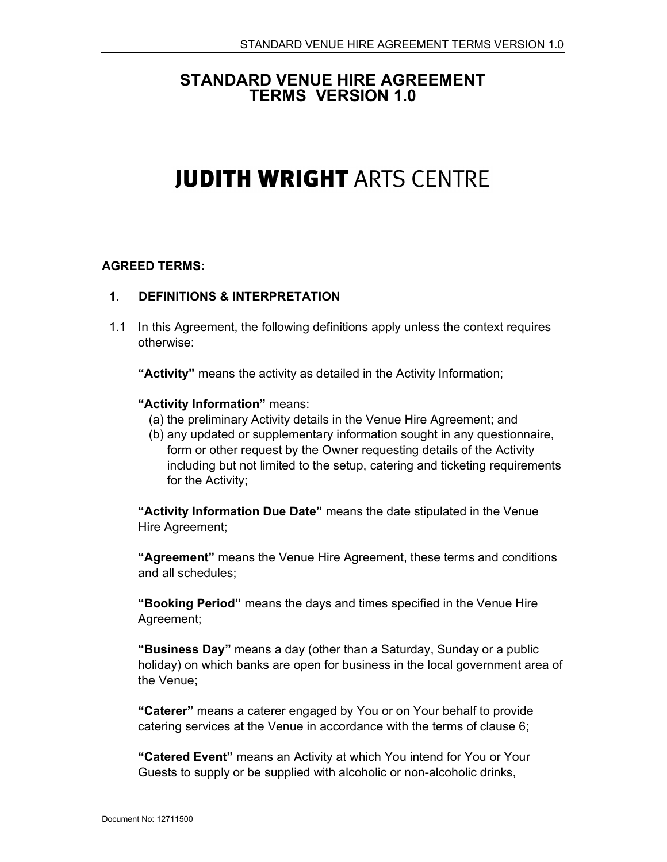# STANDARD VENUE HIRE AGREEMENT TERMS VERSION 1.0

# **JUDITH WRIGHT ARTS CENTRE**

#### AGREED TERMS:

#### 1. DEFINITIONS & INTERPRETATION

1.1 In this Agreement, the following definitions apply unless the context requires otherwise:

"Activity" means the activity as detailed in the Activity Information;

#### "Activity Information" means:

- (a) the preliminary Activity details in the Venue Hire Agreement; and
- (b) any updated or supplementary information sought in any questionnaire, form or other request by the Owner requesting details of the Activity including but not limited to the setup, catering and ticketing requirements for the Activity;

"Activity Information Due Date" means the date stipulated in the Venue Hire Agreement;

"Agreement" means the Venue Hire Agreement, these terms and conditions and all schedules;

"Booking Period" means the days and times specified in the Venue Hire Agreement;

"Business Day" means a day (other than a Saturday, Sunday or a public holiday) on which banks are open for business in the local government area of the Venue;

"Caterer" means a caterer engaged by You or on Your behalf to provide catering services at the Venue in accordance with the terms of clause 6;

"Catered Event" means an Activity at which You intend for You or Your Guests to supply or be supplied with alcoholic or non-alcoholic drinks,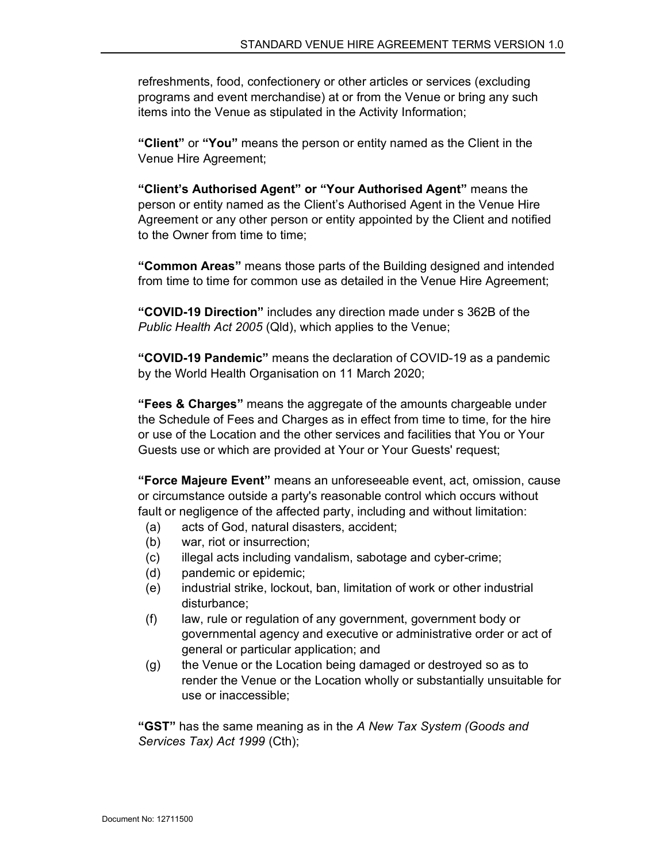refreshments, food, confectionery or other articles or services (excluding programs and event merchandise) at or from the Venue or bring any such items into the Venue as stipulated in the Activity Information;

"Client" or "You" means the person or entity named as the Client in the Venue Hire Agreement;

"Client's Authorised Agent" or "Your Authorised Agent" means the person or entity named as the Client's Authorised Agent in the Venue Hire Agreement or any other person or entity appointed by the Client and notified to the Owner from time to time;

"Common Areas" means those parts of the Building designed and intended from time to time for common use as detailed in the Venue Hire Agreement;

"COVID-19 Direction" includes any direction made under s 362B of the Public Health Act 2005 (Qld), which applies to the Venue;

"COVID-19 Pandemic" means the declaration of COVID-19 as a pandemic by the World Health Organisation on 11 March 2020;

**"Fees & Charges"** means the aggregate of the amounts chargeable under the Schedule of Fees and Charges as in effect from time to time, for the hire or use of the Location and the other services and facilities that You or Your Guests use or which are provided at Your or Your Guests' request;

"Force Majeure Event" means an unforeseeable event, act, omission, cause or circumstance outside a party's reasonable control which occurs without fault or negligence of the affected party, including and without limitation:

- (a) acts of God, natural disasters, accident;
- (b) war, riot or insurrection;
- (c) illegal acts including vandalism, sabotage and cyber-crime;
- (d) pandemic or epidemic;
- (e) industrial strike, lockout, ban, limitation of work or other industrial disturbance;
- (f) law, rule or regulation of any government, government body or governmental agency and executive or administrative order or act of general or particular application; and
- (g) the Venue or the Location being damaged or destroyed so as to render the Venue or the Location wholly or substantially unsuitable for use or inaccessible;

"GST" has the same meaning as in the A New Tax System (Goods and Services Tax) Act 1999 (Cth);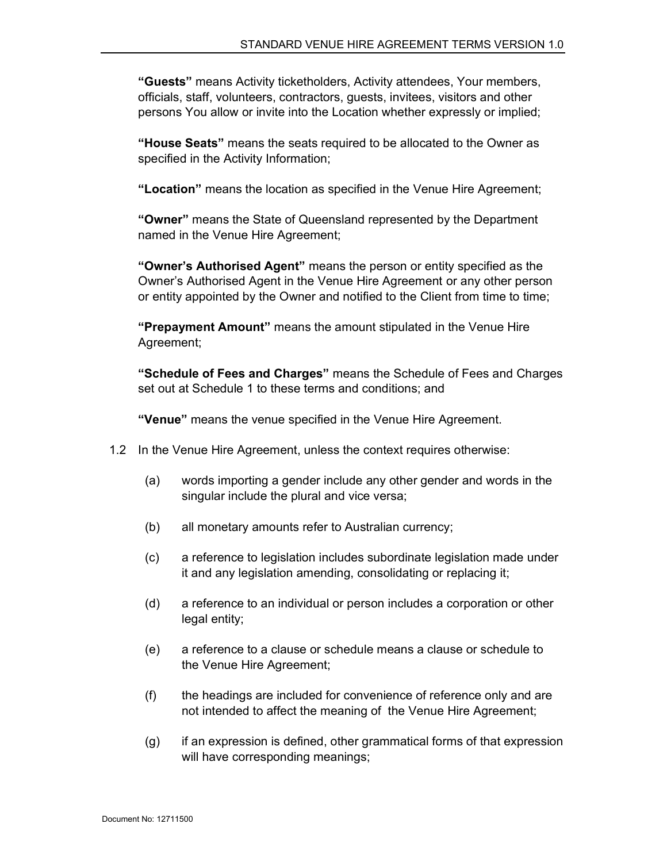"Guests" means Activity ticketholders, Activity attendees, Your members, officials, staff, volunteers, contractors, guests, invitees, visitors and other persons You allow or invite into the Location whether expressly or implied;

"House Seats" means the seats required to be allocated to the Owner as specified in the Activity Information;

"Location" means the location as specified in the Venue Hire Agreement;

"Owner" means the State of Queensland represented by the Department named in the Venue Hire Agreement;

"Owner's Authorised Agent" means the person or entity specified as the Owner's Authorised Agent in the Venue Hire Agreement or any other person or entity appointed by the Owner and notified to the Client from time to time;

"Prepayment Amount" means the amount stipulated in the Venue Hire Agreement;

"Schedule of Fees and Charges" means the Schedule of Fees and Charges set out at Schedule 1 to these terms and conditions; and

"Venue" means the venue specified in the Venue Hire Agreement.

- 1.2 In the Venue Hire Agreement, unless the context requires otherwise:
	- (a) words importing a gender include any other gender and words in the singular include the plural and vice versa;
	- (b) all monetary amounts refer to Australian currency;
	- (c) a reference to legislation includes subordinate legislation made under it and any legislation amending, consolidating or replacing it;
	- (d) a reference to an individual or person includes a corporation or other legal entity;
	- (e) a reference to a clause or schedule means a clause or schedule to the Venue Hire Agreement;
	- (f) the headings are included for convenience of reference only and are not intended to affect the meaning of the Venue Hire Agreement;
	- (g) if an expression is defined, other grammatical forms of that expression will have corresponding meanings;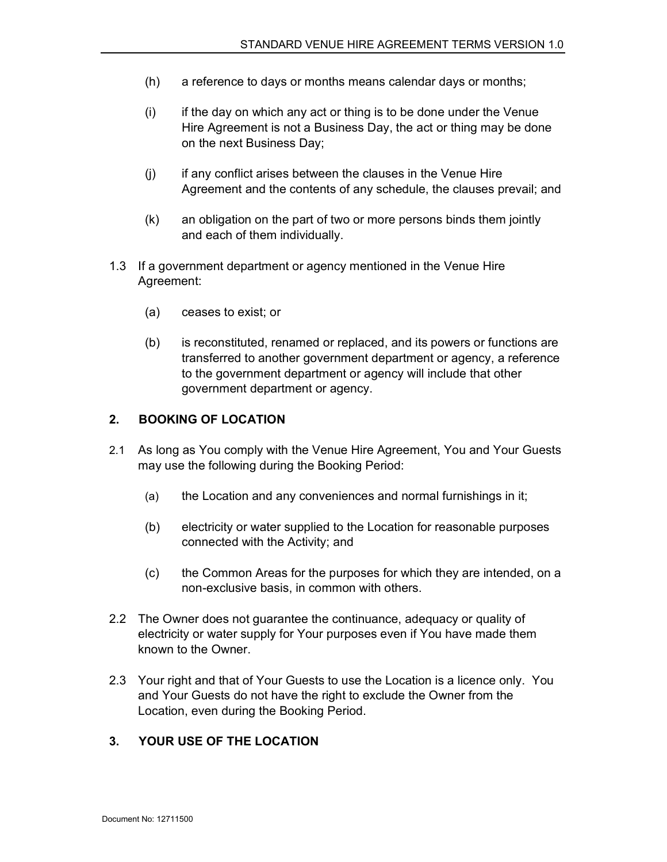- (h) a reference to days or months means calendar days or months;
- (i) if the day on which any act or thing is to be done under the Venue Hire Agreement is not a Business Day, the act or thing may be done on the next Business Day;
- (j) if any conflict arises between the clauses in the Venue Hire Agreement and the contents of any schedule, the clauses prevail; and
- (k) an obligation on the part of two or more persons binds them jointly and each of them individually.
- 1.3 If a government department or agency mentioned in the Venue Hire Agreement:
	- (a) ceases to exist; or
	- (b) is reconstituted, renamed or replaced, and its powers or functions are transferred to another government department or agency, a reference to the government department or agency will include that other government department or agency.

#### 2. BOOKING OF LOCATION

- 2.1 As long as You comply with the Venue Hire Agreement, You and Your Guests may use the following during the Booking Period:
	- (a) the Location and any conveniences and normal furnishings in it;
	- (b) electricity or water supplied to the Location for reasonable purposes connected with the Activity; and
	- (c) the Common Areas for the purposes for which they are intended, on a non-exclusive basis, in common with others.
- 2.2 The Owner does not guarantee the continuance, adequacy or quality of electricity or water supply for Your purposes even if You have made them known to the Owner.
- 2.3 Your right and that of Your Guests to use the Location is a licence only. You and Your Guests do not have the right to exclude the Owner from the Location, even during the Booking Period.

#### 3. YOUR USE OF THE LOCATION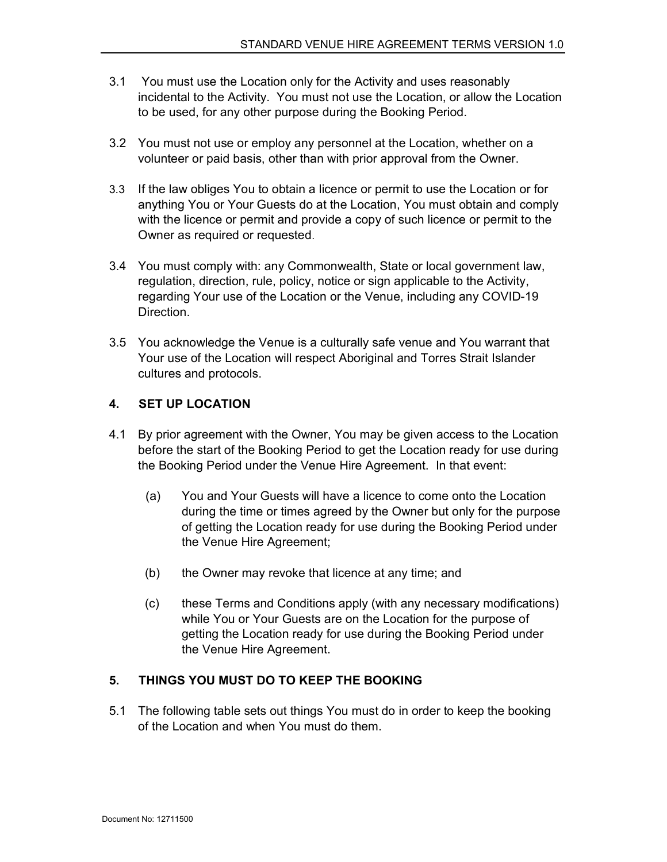- 3.1 You must use the Location only for the Activity and uses reasonably incidental to the Activity. You must not use the Location, or allow the Location to be used, for any other purpose during the Booking Period.
- 3.2 You must not use or employ any personnel at the Location, whether on a volunteer or paid basis, other than with prior approval from the Owner.
- 3.3 If the law obliges You to obtain a licence or permit to use the Location or for anything You or Your Guests do at the Location, You must obtain and comply with the licence or permit and provide a copy of such licence or permit to the Owner as required or requested.
- 3.4 You must comply with: any Commonwealth, State or local government law, regulation, direction, rule, policy, notice or sign applicable to the Activity, regarding Your use of the Location or the Venue, including any COVID-19 Direction.
- 3.5 You acknowledge the Venue is a culturally safe venue and You warrant that Your use of the Location will respect Aboriginal and Torres Strait Islander cultures and protocols.

## 4. SET UP LOCATION

- 4.1 By prior agreement with the Owner, You may be given access to the Location before the start of the Booking Period to get the Location ready for use during the Booking Period under the Venue Hire Agreement. In that event:
	- (a) You and Your Guests will have a licence to come onto the Location during the time or times agreed by the Owner but only for the purpose of getting the Location ready for use during the Booking Period under the Venue Hire Agreement;
	- (b) the Owner may revoke that licence at any time; and
	- (c) these Terms and Conditions apply (with any necessary modifications) while You or Your Guests are on the Location for the purpose of getting the Location ready for use during the Booking Period under the Venue Hire Agreement.

## 5. THINGS YOU MUST DO TO KEEP THE BOOKING

5.1 The following table sets out things You must do in order to keep the booking of the Location and when You must do them.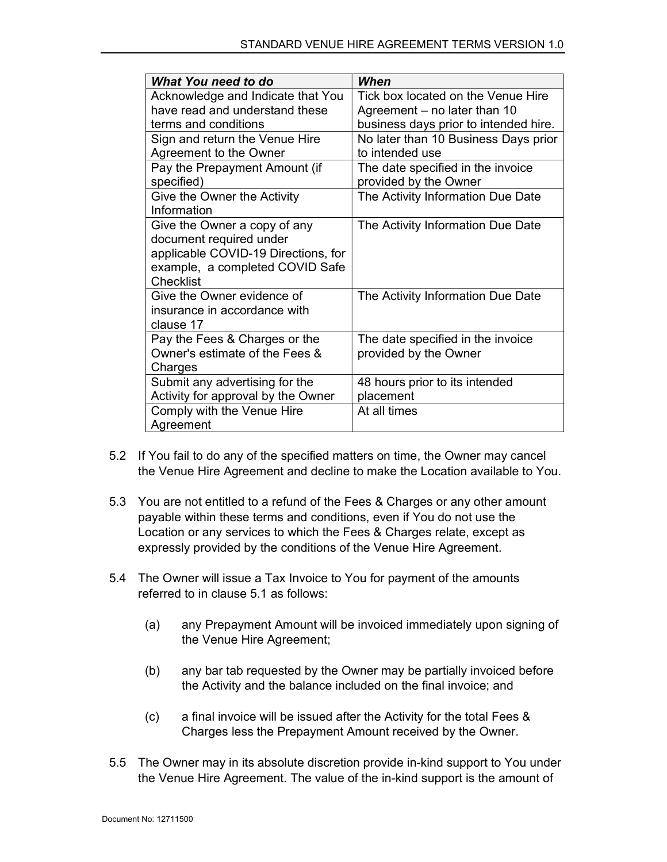| What You need to do                 | When                                  |
|-------------------------------------|---------------------------------------|
| Acknowledge and Indicate that You   | Tick box located on the Venue Hire    |
| have read and understand these      | Agreement – no later than 10          |
| terms and conditions                | business days prior to intended hire. |
| Sign and return the Venue Hire      | No later than 10 Business Days prior  |
| Agreement to the Owner              | to intended use                       |
| Pay the Prepayment Amount (if       | The date specified in the invoice     |
| specified)                          | provided by the Owner                 |
| Give the Owner the Activity         | The Activity Information Due Date     |
| Information                         |                                       |
| Give the Owner a copy of any        | The Activity Information Due Date     |
| document required under             |                                       |
| applicable COVID-19 Directions, for |                                       |
| example, a completed COVID Safe     |                                       |
| <b>Checklist</b>                    |                                       |
| Give the Owner evidence of          | The Activity Information Due Date     |
| insurance in accordance with        |                                       |
| clause 17                           |                                       |
| Pay the Fees & Charges or the       | The date specified in the invoice     |
| Owner's estimate of the Fees &      | provided by the Owner                 |
| Charges                             |                                       |
| Submit any advertising for the      | 48 hours prior to its intended        |
| Activity for approval by the Owner  | placement                             |
| Comply with the Venue Hire          | At all times                          |
| Agreement                           |                                       |

- 5.2 If You fail to do any of the specified matters on time, the Owner may cancel the Venue Hire Agreement and decline to make the Location available to You.
- 5.3 You are not entitled to a refund of the Fees & Charges or any other amount payable within these terms and conditions, even if You do not use the Location or any services to which the Fees & Charges relate, except as expressly provided by the conditions of the Venue Hire Agreement.
- 5.4 The Owner will issue a Tax Invoice to You for payment of the amounts referred to in clause 5.1 as follows:
	- (a) any Prepayment Amount will be invoiced immediately upon signing of the Venue Hire Agreement;
	- (b) any bar tab requested by the Owner may be partially invoiced before the Activity and the balance included on the final invoice; and
	- (c) a final invoice will be issued after the Activity for the total Fees & Charges less the Prepayment Amount received by the Owner.
- 5.5 The Owner may in its absolute discretion provide in-kind support to You under the Venue Hire Agreement. The value of the in-kind support is the amount of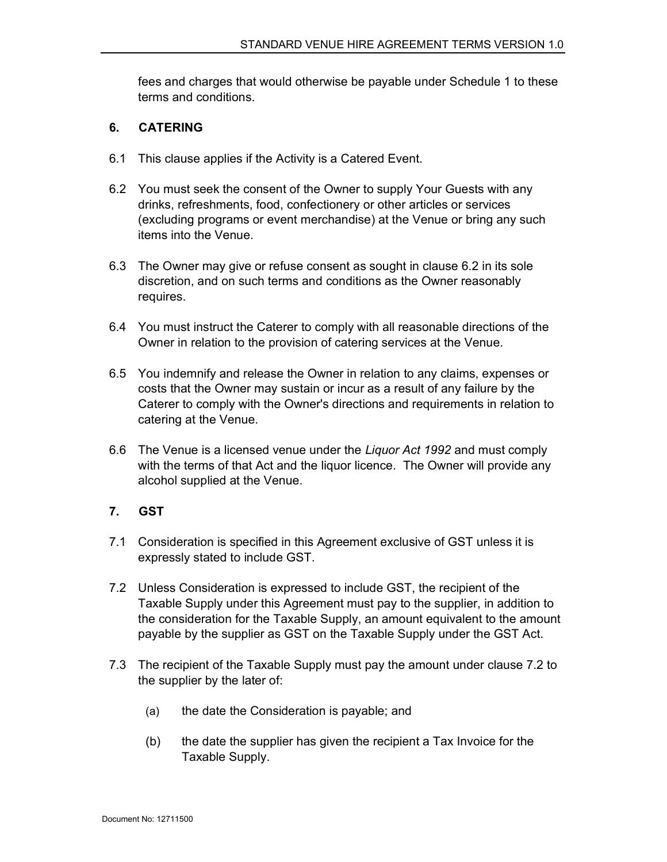fees and charges that would otherwise be payable under Schedule 1 to these terms and conditions.

#### 6. CATERING

- 6.1 This clause applies if the Activity is a Catered Event.
- 6.2 You must seek the consent of the Owner to supply Your Guests with any drinks, refreshments, food, confectionery or other articles or services (excluding programs or event merchandise) at the Venue or bring any such items into the Venue.
- 6.3 The Owner may give or refuse consent as sought in clause 6.2 in its sole discretion, and on such terms and conditions as the Owner reasonably requires.
- 6.4 You must instruct the Caterer to comply with all reasonable directions of the Owner in relation to the provision of catering services at the Venue.
- 6.5 You indemnify and release the Owner in relation to any claims, expenses or costs that the Owner may sustain or incur as a result of any failure by the Caterer to comply with the Owner's directions and requirements in relation to catering at the Venue.
- 6.6 The Venue is a licensed venue under the Liquor Act 1992 and must comply with the terms of that Act and the liquor licence. The Owner will provide any alcohol supplied at the Venue.

## 7. GST

- 7.1 Consideration is specified in this Agreement exclusive of GST unless it is expressly stated to include GST.
- 7.2 Unless Consideration is expressed to include GST, the recipient of the Taxable Supply under this Agreement must pay to the supplier, in addition to the consideration for the Taxable Supply, an amount equivalent to the amount payable by the supplier as GST on the Taxable Supply under the GST Act.
- 7.3 The recipient of the Taxable Supply must pay the amount under clause 7.2 to the supplier by the later of:
	- (a) the date the Consideration is payable; and
	- (b) the date the supplier has given the recipient a Tax Invoice for the Taxable Supply.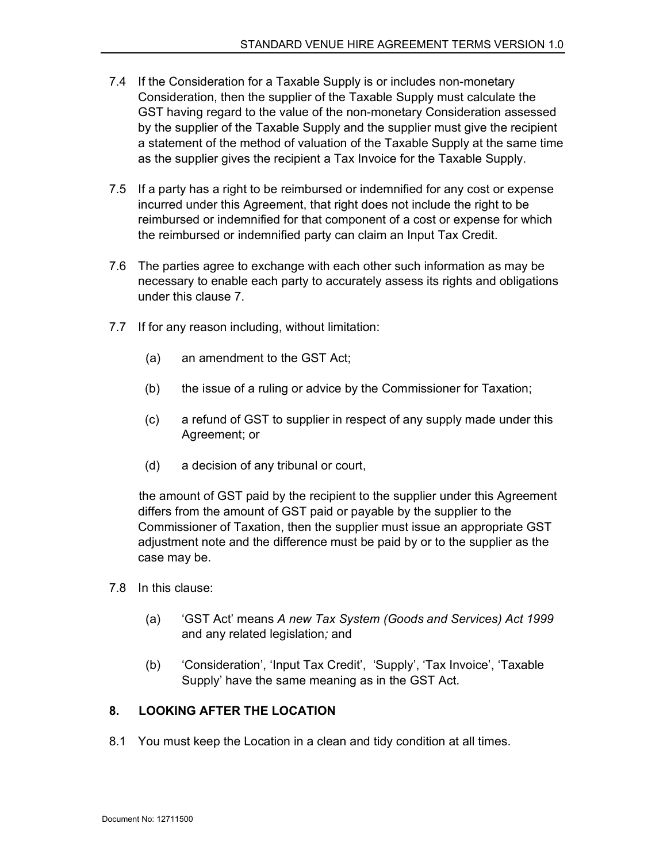- 7.4 If the Consideration for a Taxable Supply is or includes non-monetary Consideration, then the supplier of the Taxable Supply must calculate the GST having regard to the value of the non-monetary Consideration assessed by the supplier of the Taxable Supply and the supplier must give the recipient a statement of the method of valuation of the Taxable Supply at the same time as the supplier gives the recipient a Tax Invoice for the Taxable Supply.
- 7.5 If a party has a right to be reimbursed or indemnified for any cost or expense incurred under this Agreement, that right does not include the right to be reimbursed or indemnified for that component of a cost or expense for which the reimbursed or indemnified party can claim an Input Tax Credit.
- 7.6 The parties agree to exchange with each other such information as may be necessary to enable each party to accurately assess its rights and obligations under this clause 7.
- 7.7 If for any reason including, without limitation:
	- (a) an amendment to the GST Act;
	- (b) the issue of a ruling or advice by the Commissioner for Taxation;
	- (c) a refund of GST to supplier in respect of any supply made under this Agreement; or
	- (d) a decision of any tribunal or court,

 the amount of GST paid by the recipient to the supplier under this Agreement differs from the amount of GST paid or payable by the supplier to the Commissioner of Taxation, then the supplier must issue an appropriate GST adjustment note and the difference must be paid by or to the supplier as the case may be.

- 7.8 In this clause:
	- (a) 'GST Act' means A new Tax System (Goods and Services) Act 1999 and any related legislation; and
	- (b) 'Consideration', 'Input Tax Credit', 'Supply', 'Tax Invoice', 'Taxable Supply' have the same meaning as in the GST Act.

## 8. LOOKING AFTER THE LOCATION

8.1 You must keep the Location in a clean and tidy condition at all times.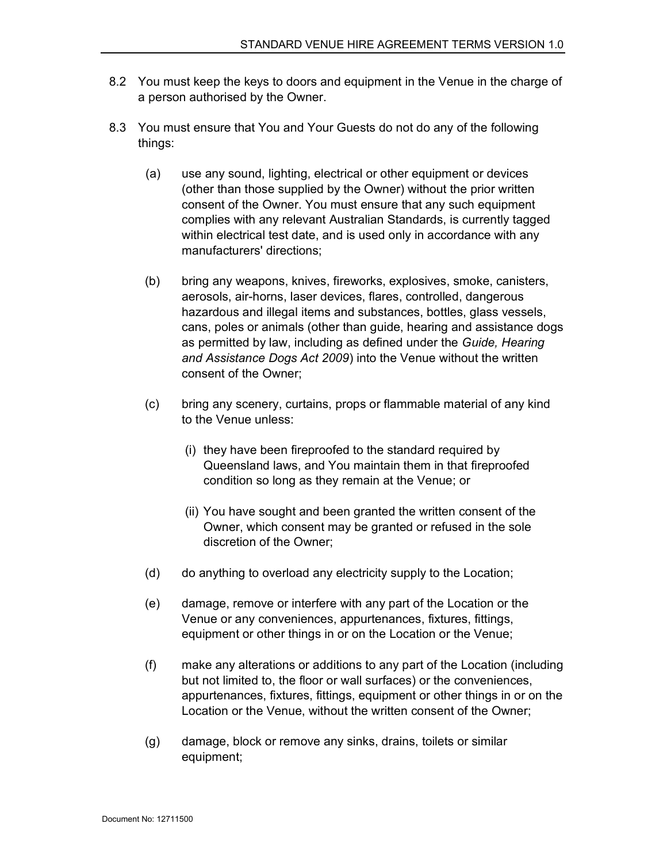- 8.2 You must keep the keys to doors and equipment in the Venue in the charge of a person authorised by the Owner.
- 8.3 You must ensure that You and Your Guests do not do any of the following things:
	- (a) use any sound, lighting, electrical or other equipment or devices (other than those supplied by the Owner) without the prior written consent of the Owner. You must ensure that any such equipment complies with any relevant Australian Standards, is currently tagged within electrical test date, and is used only in accordance with any manufacturers' directions;
	- (b) bring any weapons, knives, fireworks, explosives, smoke, canisters, aerosols, air-horns, laser devices, flares, controlled, dangerous hazardous and illegal items and substances, bottles, glass vessels, cans, poles or animals (other than guide, hearing and assistance dogs as permitted by law, including as defined under the Guide, Hearing and Assistance Dogs Act 2009) into the Venue without the written consent of the Owner;
	- (c) bring any scenery, curtains, props or flammable material of any kind to the Venue unless:
		- (i) they have been fireproofed to the standard required by Queensland laws, and You maintain them in that fireproofed condition so long as they remain at the Venue; or
		- (ii) You have sought and been granted the written consent of the Owner, which consent may be granted or refused in the sole discretion of the Owner;
	- (d) do anything to overload any electricity supply to the Location;
	- (e) damage, remove or interfere with any part of the Location or the Venue or any conveniences, appurtenances, fixtures, fittings, equipment or other things in or on the Location or the Venue;
	- (f) make any alterations or additions to any part of the Location (including but not limited to, the floor or wall surfaces) or the conveniences, appurtenances, fixtures, fittings, equipment or other things in or on the Location or the Venue, without the written consent of the Owner;
	- (g) damage, block or remove any sinks, drains, toilets or similar equipment;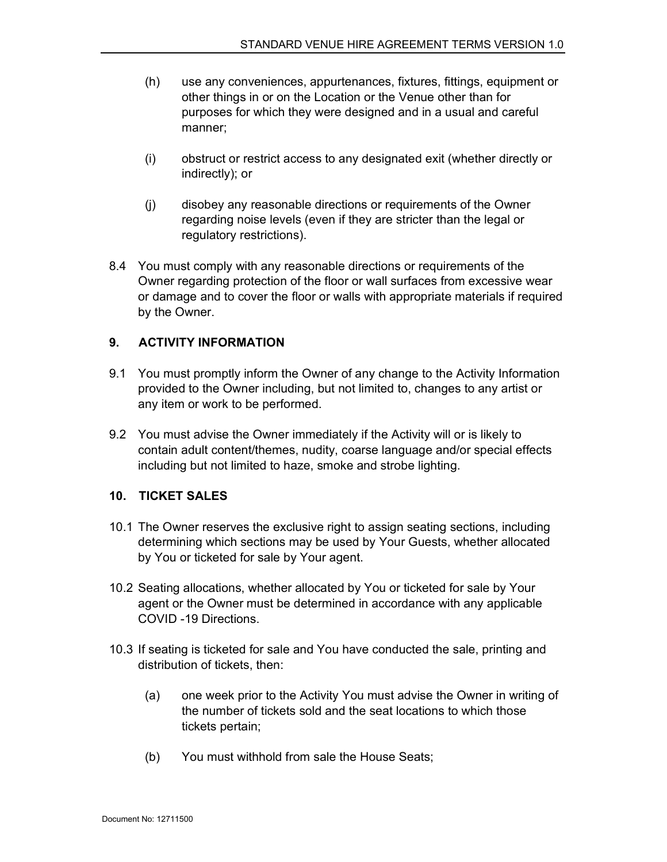- (h) use any conveniences, appurtenances, fixtures, fittings, equipment or other things in or on the Location or the Venue other than for purposes for which they were designed and in a usual and careful manner;
- (i) obstruct or restrict access to any designated exit (whether directly or indirectly); or
- (j) disobey any reasonable directions or requirements of the Owner regarding noise levels (even if they are stricter than the legal or regulatory restrictions).
- 8.4 You must comply with any reasonable directions or requirements of the Owner regarding protection of the floor or wall surfaces from excessive wear or damage and to cover the floor or walls with appropriate materials if required by the Owner.

#### 9. ACTIVITY INFORMATION

- 9.1 You must promptly inform the Owner of any change to the Activity Information provided to the Owner including, but not limited to, changes to any artist or any item or work to be performed.
- 9.2 You must advise the Owner immediately if the Activity will or is likely to contain adult content/themes, nudity, coarse language and/or special effects including but not limited to haze, smoke and strobe lighting.

## 10. TICKET SALES

- 10.1 The Owner reserves the exclusive right to assign seating sections, including determining which sections may be used by Your Guests, whether allocated by You or ticketed for sale by Your agent.
- 10.2 Seating allocations, whether allocated by You or ticketed for sale by Your agent or the Owner must be determined in accordance with any applicable COVID -19 Directions.
- 10.3 If seating is ticketed for sale and You have conducted the sale, printing and distribution of tickets, then:
	- (a) one week prior to the Activity You must advise the Owner in writing of the number of tickets sold and the seat locations to which those tickets pertain;
	- (b) You must withhold from sale the House Seats;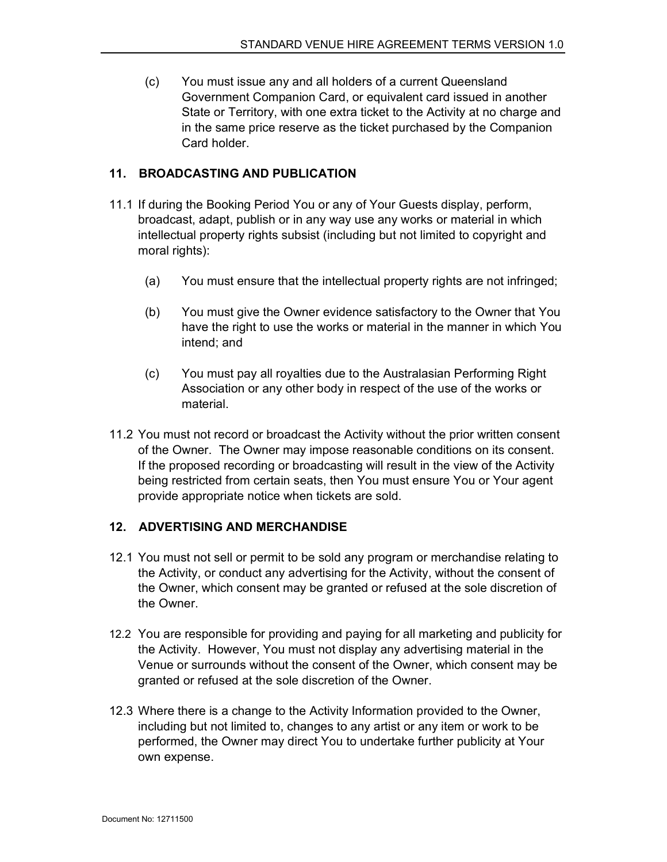(c) You must issue any and all holders of a current Queensland Government Companion Card, or equivalent card issued in another State or Territory, with one extra ticket to the Activity at no charge and in the same price reserve as the ticket purchased by the Companion Card holder.

## 11. BROADCASTING AND PUBLICATION

- 11.1 If during the Booking Period You or any of Your Guests display, perform, broadcast, adapt, publish or in any way use any works or material in which intellectual property rights subsist (including but not limited to copyright and moral rights):
	- (a) You must ensure that the intellectual property rights are not infringed;
	- (b) You must give the Owner evidence satisfactory to the Owner that You have the right to use the works or material in the manner in which You intend; and
	- (c) You must pay all royalties due to the Australasian Performing Right Association or any other body in respect of the use of the works or material.
- 11.2 You must not record or broadcast the Activity without the prior written consent of the Owner. The Owner may impose reasonable conditions on its consent. If the proposed recording or broadcasting will result in the view of the Activity being restricted from certain seats, then You must ensure You or Your agent provide appropriate notice when tickets are sold.

#### 12. ADVERTISING AND MERCHANDISE

- 12.1 You must not sell or permit to be sold any program or merchandise relating to the Activity, or conduct any advertising for the Activity, without the consent of the Owner, which consent may be granted or refused at the sole discretion of the Owner.
- 12.2 You are responsible for providing and paying for all marketing and publicity for the Activity. However, You must not display any advertising material in the Venue or surrounds without the consent of the Owner, which consent may be granted or refused at the sole discretion of the Owner.
- 12.3 Where there is a change to the Activity Information provided to the Owner, including but not limited to, changes to any artist or any item or work to be performed, the Owner may direct You to undertake further publicity at Your own expense.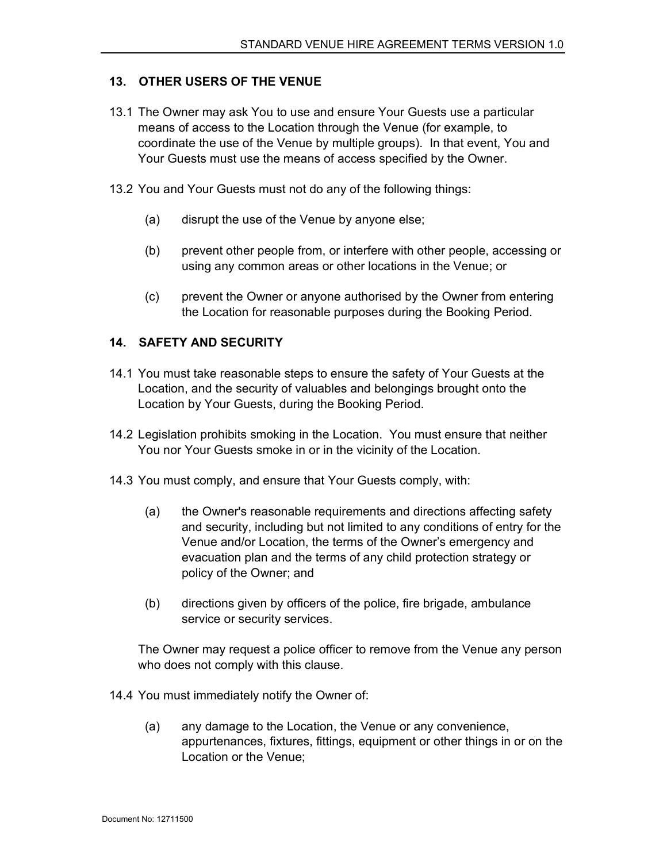#### 13. OTHER USERS OF THE VENUE

- 13.1 The Owner may ask You to use and ensure Your Guests use a particular means of access to the Location through the Venue (for example, to coordinate the use of the Venue by multiple groups). In that event, You and Your Guests must use the means of access specified by the Owner.
- 13.2 You and Your Guests must not do any of the following things:
	- (a) disrupt the use of the Venue by anyone else;
	- (b) prevent other people from, or interfere with other people, accessing or using any common areas or other locations in the Venue; or
	- (c) prevent the Owner or anyone authorised by the Owner from entering the Location for reasonable purposes during the Booking Period.

#### 14. SAFETY AND SECURITY

- 14.1 You must take reasonable steps to ensure the safety of Your Guests at the Location, and the security of valuables and belongings brought onto the Location by Your Guests, during the Booking Period.
- 14.2 Legislation prohibits smoking in the Location. You must ensure that neither You nor Your Guests smoke in or in the vicinity of the Location.
- 14.3 You must comply, and ensure that Your Guests comply, with:
	- (a) the Owner's reasonable requirements and directions affecting safety and security, including but not limited to any conditions of entry for the Venue and/or Location, the terms of the Owner's emergency and evacuation plan and the terms of any child protection strategy or policy of the Owner; and
	- (b) directions given by officers of the police, fire brigade, ambulance service or security services.

The Owner may request a police officer to remove from the Venue any person who does not comply with this clause.

14.4 You must immediately notify the Owner of:

(a) any damage to the Location, the Venue or any convenience, appurtenances, fixtures, fittings, equipment or other things in or on the Location or the Venue;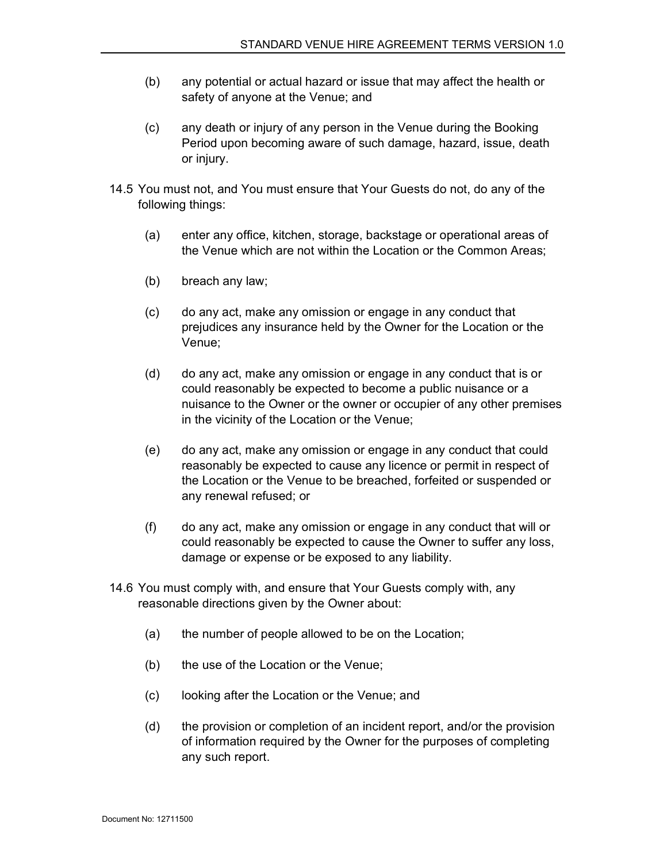- (b) any potential or actual hazard or issue that may affect the health or safety of anyone at the Venue; and
- (c) any death or injury of any person in the Venue during the Booking Period upon becoming aware of such damage, hazard, issue, death or injury.
- 14.5 You must not, and You must ensure that Your Guests do not, do any of the following things:
	- (a) enter any office, kitchen, storage, backstage or operational areas of the Venue which are not within the Location or the Common Areas;
	- (b) breach any law;
	- (c) do any act, make any omission or engage in any conduct that prejudices any insurance held by the Owner for the Location or the Venue;
	- (d) do any act, make any omission or engage in any conduct that is or could reasonably be expected to become a public nuisance or a nuisance to the Owner or the owner or occupier of any other premises in the vicinity of the Location or the Venue;
	- (e) do any act, make any omission or engage in any conduct that could reasonably be expected to cause any licence or permit in respect of the Location or the Venue to be breached, forfeited or suspended or any renewal refused; or
	- (f) do any act, make any omission or engage in any conduct that will or could reasonably be expected to cause the Owner to suffer any loss, damage or expense or be exposed to any liability.
- 14.6 You must comply with, and ensure that Your Guests comply with, any reasonable directions given by the Owner about:
	- (a) the number of people allowed to be on the Location;
	- (b) the use of the Location or the Venue;
	- (c) looking after the Location or the Venue; and
	- (d) the provision or completion of an incident report, and/or the provision of information required by the Owner for the purposes of completing any such report.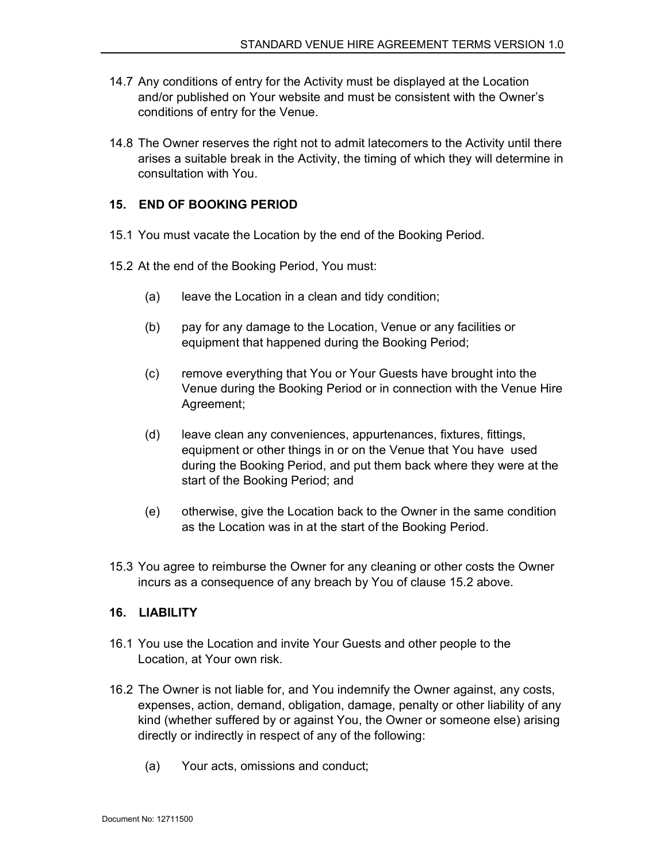- 14.7 Any conditions of entry for the Activity must be displayed at the Location and/or published on Your website and must be consistent with the Owner's conditions of entry for the Venue.
- 14.8 The Owner reserves the right not to admit latecomers to the Activity until there arises a suitable break in the Activity, the timing of which they will determine in consultation with You.

## 15. END OF BOOKING PERIOD

- 15.1 You must vacate the Location by the end of the Booking Period.
- 15.2 At the end of the Booking Period, You must:
	- (a) leave the Location in a clean and tidy condition;
	- (b) pay for any damage to the Location, Venue or any facilities or equipment that happened during the Booking Period;
	- (c) remove everything that You or Your Guests have brought into the Venue during the Booking Period or in connection with the Venue Hire Agreement;
	- (d) leave clean any conveniences, appurtenances, fixtures, fittings, equipment or other things in or on the Venue that You have used during the Booking Period, and put them back where they were at the start of the Booking Period; and
	- (e) otherwise, give the Location back to the Owner in the same condition as the Location was in at the start of the Booking Period.
- 15.3 You agree to reimburse the Owner for any cleaning or other costs the Owner incurs as a consequence of any breach by You of clause 15.2 above.

## 16. LIABILITY

- 16.1 You use the Location and invite Your Guests and other people to the Location, at Your own risk.
- 16.2 The Owner is not liable for, and You indemnify the Owner against, any costs, expenses, action, demand, obligation, damage, penalty or other liability of any kind (whether suffered by or against You, the Owner or someone else) arising directly or indirectly in respect of any of the following:
	- (a) Your acts, omissions and conduct;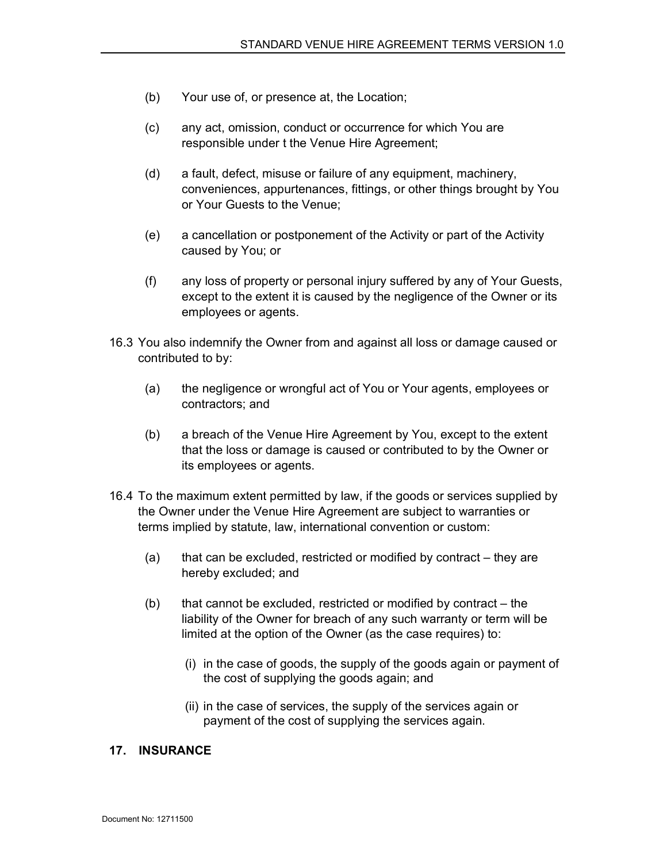- (b) Your use of, or presence at, the Location;
- (c) any act, omission, conduct or occurrence for which You are responsible under t the Venue Hire Agreement;
- (d) a fault, defect, misuse or failure of any equipment, machinery, conveniences, appurtenances, fittings, or other things brought by You or Your Guests to the Venue;
- (e) a cancellation or postponement of the Activity or part of the Activity caused by You; or
- (f) any loss of property or personal injury suffered by any of Your Guests, except to the extent it is caused by the negligence of the Owner or its employees or agents.
- 16.3 You also indemnify the Owner from and against all loss or damage caused or contributed to by:
	- (a) the negligence or wrongful act of You or Your agents, employees or contractors; and
	- (b) a breach of the Venue Hire Agreement by You, except to the extent that the loss or damage is caused or contributed to by the Owner or its employees or agents.
- 16.4 To the maximum extent permitted by law, if the goods or services supplied by the Owner under the Venue Hire Agreement are subject to warranties or terms implied by statute, law, international convention or custom:
	- (a) that can be excluded, restricted or modified by contract they are hereby excluded; and
	- $(b)$  that cannot be excluded, restricted or modified by contract the liability of the Owner for breach of any such warranty or term will be limited at the option of the Owner (as the case requires) to:
		- (i) in the case of goods, the supply of the goods again or payment of the cost of supplying the goods again; and
		- (ii) in the case of services, the supply of the services again or payment of the cost of supplying the services again.

#### 17. INSURANCE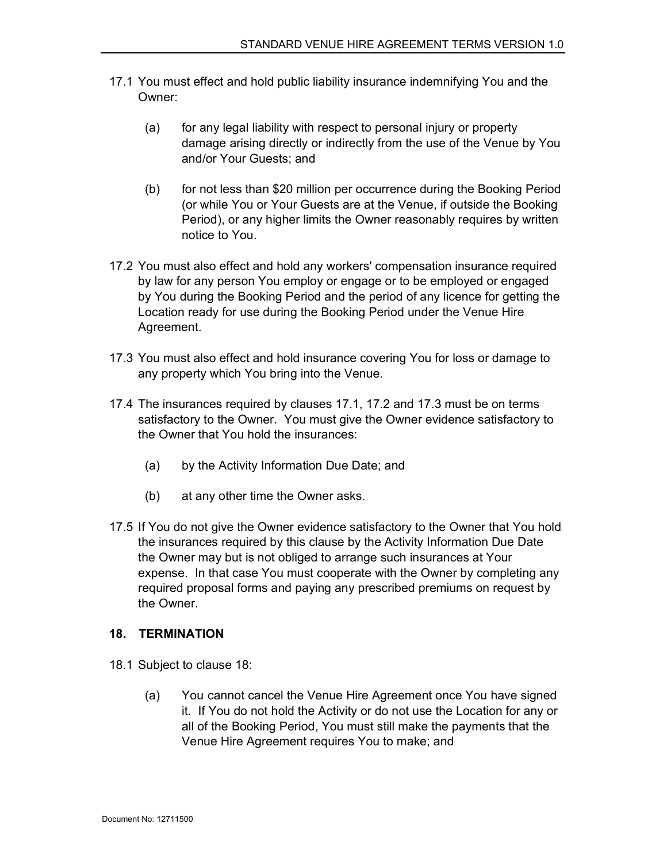- 17.1 You must effect and hold public liability insurance indemnifying You and the Owner:
	- (a) for any legal liability with respect to personal injury or property damage arising directly or indirectly from the use of the Venue by You and/or Your Guests; and
	- (b) for not less than \$20 million per occurrence during the Booking Period (or while You or Your Guests are at the Venue, if outside the Booking Period), or any higher limits the Owner reasonably requires by written notice to You.
- 17.2 You must also effect and hold any workers' compensation insurance required by law for any person You employ or engage or to be employed or engaged by You during the Booking Period and the period of any licence for getting the Location ready for use during the Booking Period under the Venue Hire Agreement.
- 17.3 You must also effect and hold insurance covering You for loss or damage to any property which You bring into the Venue.
- 17.4 The insurances required by clauses 17.1, 17.2 and 17.3 must be on terms satisfactory to the Owner. You must give the Owner evidence satisfactory to the Owner that You hold the insurances:
	- (a) by the Activity Information Due Date; and
	- (b) at any other time the Owner asks.
- 17.5 If You do not give the Owner evidence satisfactory to the Owner that You hold the insurances required by this clause by the Activity Information Due Date the Owner may but is not obliged to arrange such insurances at Your expense. In that case You must cooperate with the Owner by completing any required proposal forms and paying any prescribed premiums on request by the Owner.

#### 18. TERMINATION

- 18.1 Subject to clause 18:
	- (a) You cannot cancel the Venue Hire Agreement once You have signed it. If You do not hold the Activity or do not use the Location for any or all of the Booking Period, You must still make the payments that the Venue Hire Agreement requires You to make; and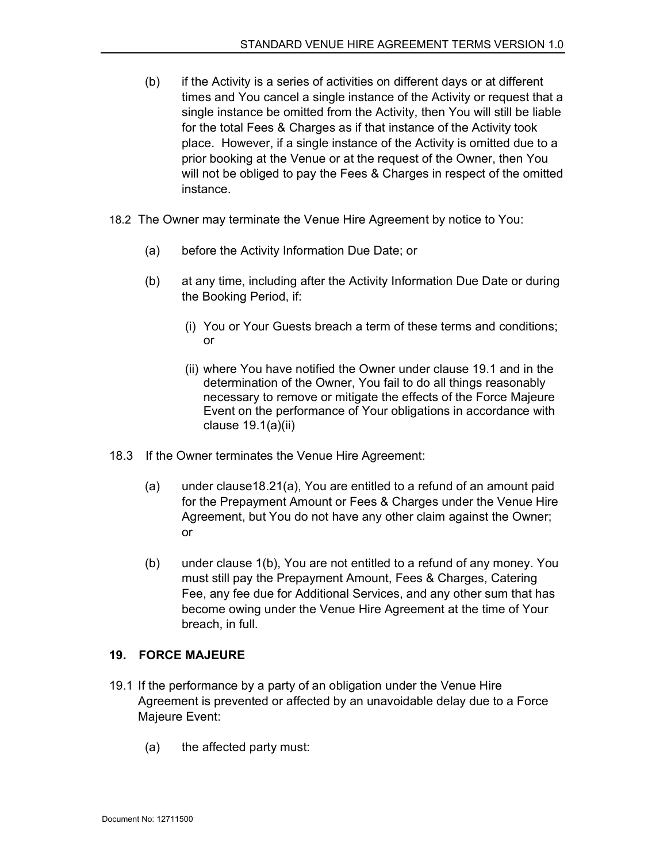- (b) if the Activity is a series of activities on different days or at different times and You cancel a single instance of the Activity or request that a single instance be omitted from the Activity, then You will still be liable for the total Fees & Charges as if that instance of the Activity took place. However, if a single instance of the Activity is omitted due to a prior booking at the Venue or at the request of the Owner, then You will not be obliged to pay the Fees & Charges in respect of the omitted instance.
- 18.2 The Owner may terminate the Venue Hire Agreement by notice to You:
	- (a) before the Activity Information Due Date; or
	- (b) at any time, including after the Activity Information Due Date or during the Booking Period, if:
		- (i) You or Your Guests breach a term of these terms and conditions; or
		- (ii) where You have notified the Owner under clause 19.1 and in the determination of the Owner, You fail to do all things reasonably necessary to remove or mitigate the effects of the Force Majeure Event on the performance of Your obligations in accordance with clause 19.1(a)(ii)
- 18.3 If the Owner terminates the Venue Hire Agreement:
	- (a) under clause18.21(a), You are entitled to a refund of an amount paid for the Prepayment Amount or Fees & Charges under the Venue Hire Agreement, but You do not have any other claim against the Owner; or
	- (b) under clause 1(b), You are not entitled to a refund of any money. You must still pay the Prepayment Amount, Fees & Charges, Catering Fee, any fee due for Additional Services, and any other sum that has become owing under the Venue Hire Agreement at the time of Your breach, in full.

#### 19. FORCE MAJEURE

- 19.1 If the performance by a party of an obligation under the Venue Hire Agreement is prevented or affected by an unavoidable delay due to a Force Majeure Event:
	- (a) the affected party must: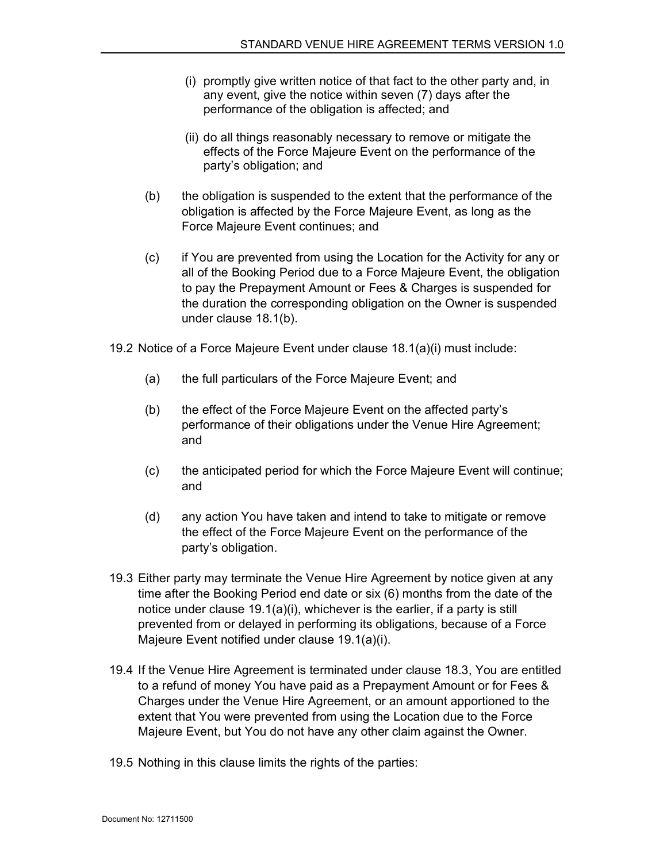- (i) promptly give written notice of that fact to the other party and, in any event, give the notice within seven (7) days after the performance of the obligation is affected; and
- (ii) do all things reasonably necessary to remove or mitigate the effects of the Force Majeure Event on the performance of the party's obligation; and
- (b) the obligation is suspended to the extent that the performance of the obligation is affected by the Force Majeure Event, as long as the Force Majeure Event continues; and
- (c) if You are prevented from using the Location for the Activity for any or all of the Booking Period due to a Force Majeure Event, the obligation to pay the Prepayment Amount or Fees & Charges is suspended for the duration the corresponding obligation on the Owner is suspended under clause 18.1(b).
- 19.2 Notice of a Force Majeure Event under clause 18.1(a)(i) must include:
	- (a) the full particulars of the Force Majeure Event; and
	- (b) the effect of the Force Majeure Event on the affected party's performance of their obligations under the Venue Hire Agreement; and
	- (c) the anticipated period for which the Force Majeure Event will continue; and
	- (d) any action You have taken and intend to take to mitigate or remove the effect of the Force Majeure Event on the performance of the party's obligation.
- 19.3 Either party may terminate the Venue Hire Agreement by notice given at any time after the Booking Period end date or six (6) months from the date of the notice under clause 19.1(a)(i), whichever is the earlier, if a party is still prevented from or delayed in performing its obligations, because of a Force Majeure Event notified under clause 19.1(a)(i).
- 19.4 If the Venue Hire Agreement is terminated under clause 18.3, You are entitled to a refund of money You have paid as a Prepayment Amount or for Fees & Charges under the Venue Hire Agreement, or an amount apportioned to the extent that You were prevented from using the Location due to the Force Majeure Event, but You do not have any other claim against the Owner.
- 19.5 Nothing in this clause limits the rights of the parties: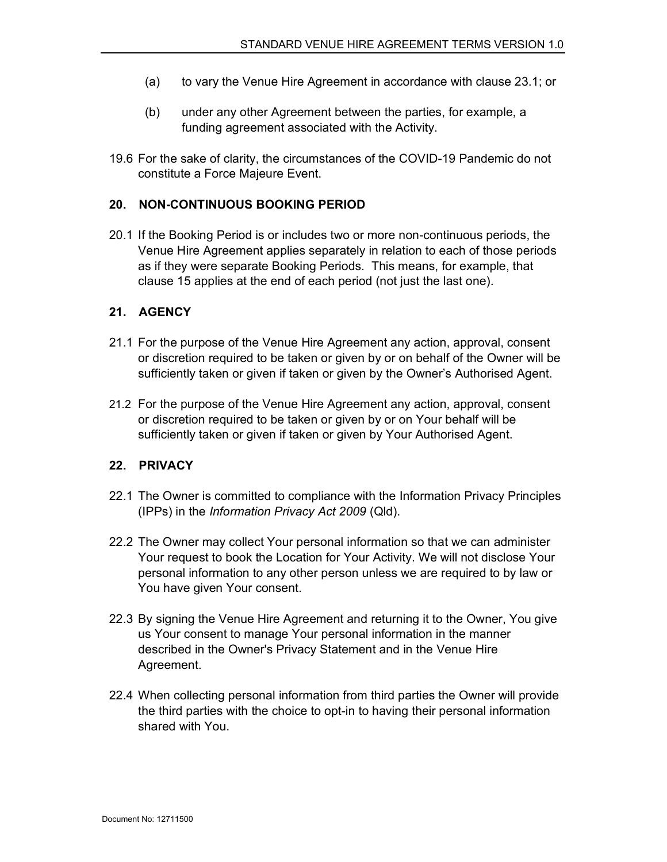- (a) to vary the Venue Hire Agreement in accordance with clause 23.1; or
- (b) under any other Agreement between the parties, for example, a funding agreement associated with the Activity.
- 19.6 For the sake of clarity, the circumstances of the COVID-19 Pandemic do not constitute a Force Majeure Event.

#### 20. NON-CONTINUOUS BOOKING PERIOD

20.1 If the Booking Period is or includes two or more non-continuous periods, the Venue Hire Agreement applies separately in relation to each of those periods as if they were separate Booking Periods. This means, for example, that clause 15 applies at the end of each period (not just the last one).

#### 21. AGENCY

- 21.1 For the purpose of the Venue Hire Agreement any action, approval, consent or discretion required to be taken or given by or on behalf of the Owner will be sufficiently taken or given if taken or given by the Owner's Authorised Agent.
- 21.2 For the purpose of the Venue Hire Agreement any action, approval, consent or discretion required to be taken or given by or on Your behalf will be sufficiently taken or given if taken or given by Your Authorised Agent.

#### 22. PRIVACY

- 22.1 The Owner is committed to compliance with the Information Privacy Principles (IPPs) in the Information Privacy Act 2009 (Qld).
- 22.2 The Owner may collect Your personal information so that we can administer Your request to book the Location for Your Activity. We will not disclose Your personal information to any other person unless we are required to by law or You have given Your consent.
- 22.3 By signing the Venue Hire Agreement and returning it to the Owner, You give us Your consent to manage Your personal information in the manner described in the Owner's Privacy Statement and in the Venue Hire Agreement.
- 22.4 When collecting personal information from third parties the Owner will provide the third parties with the choice to opt-in to having their personal information shared with You.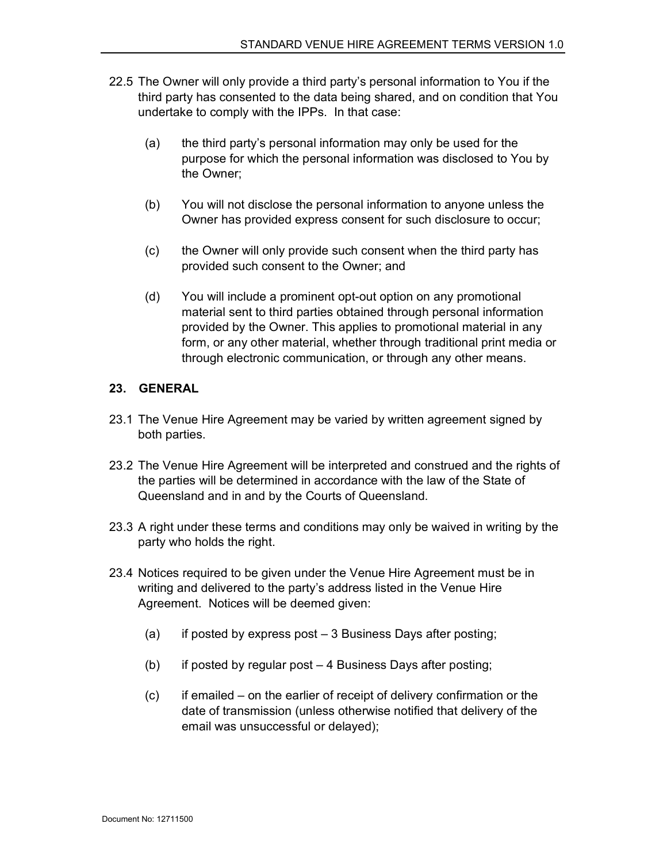- 22.5 The Owner will only provide a third party's personal information to You if the third party has consented to the data being shared, and on condition that You undertake to comply with the IPPs. In that case:
	- (a) the third party's personal information may only be used for the purpose for which the personal information was disclosed to You by the Owner;
	- (b) You will not disclose the personal information to anyone unless the Owner has provided express consent for such disclosure to occur;
	- (c) the Owner will only provide such consent when the third party has provided such consent to the Owner; and
	- (d) You will include a prominent opt-out option on any promotional material sent to third parties obtained through personal information provided by the Owner. This applies to promotional material in any form, or any other material, whether through traditional print media or through electronic communication, or through any other means.

#### 23. GENERAL

- 23.1 The Venue Hire Agreement may be varied by written agreement signed by both parties.
- 23.2 The Venue Hire Agreement will be interpreted and construed and the rights of the parties will be determined in accordance with the law of the State of Queensland and in and by the Courts of Queensland.
- 23.3 A right under these terms and conditions may only be waived in writing by the party who holds the right.
- 23.4 Notices required to be given under the Venue Hire Agreement must be in writing and delivered to the party's address listed in the Venue Hire Agreement. Notices will be deemed given:
	- (a) if posted by express post 3 Business Days after posting;
	- (b) if posted by regular post 4 Business Days after posting;
	- (c) if emailed on the earlier of receipt of delivery confirmation or the date of transmission (unless otherwise notified that delivery of the email was unsuccessful or delayed);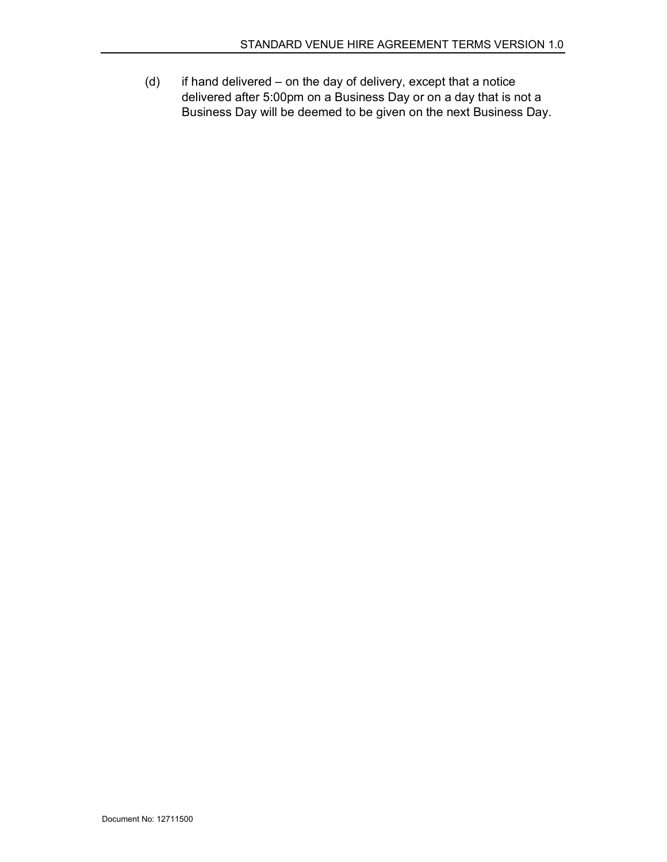(d) if hand delivered – on the day of delivery, except that a notice delivered after 5:00pm on a Business Day or on a day that is not a Business Day will be deemed to be given on the next Business Day.